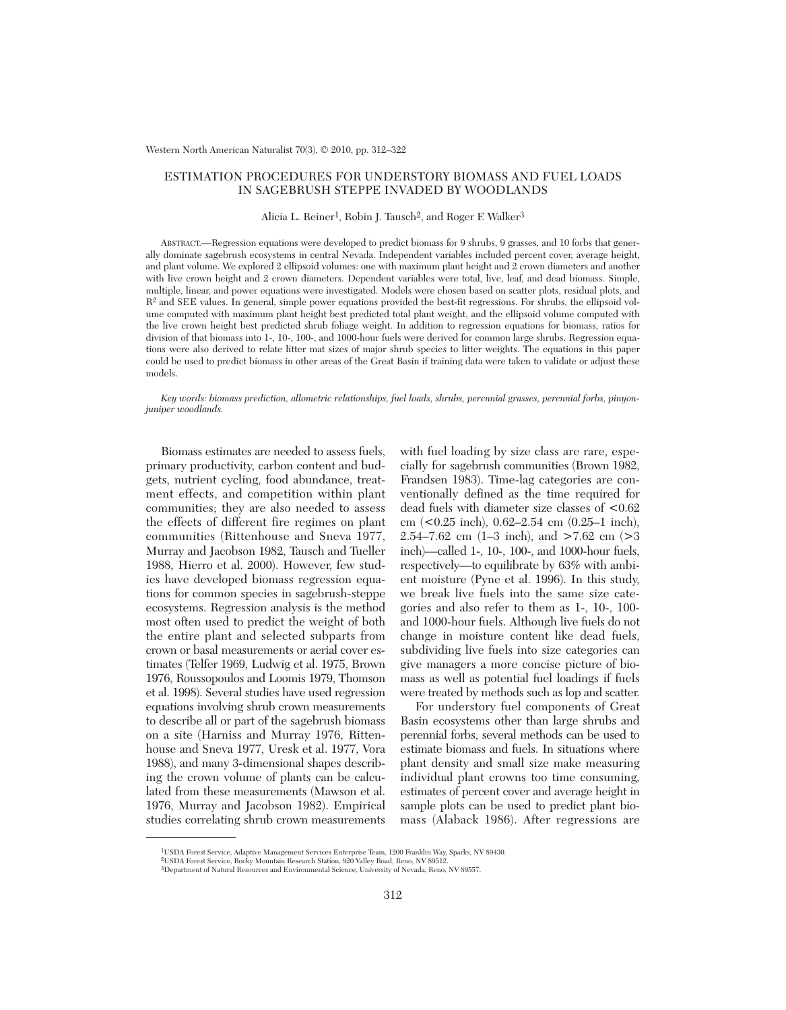## ESTIMATION PROCEDURES FOR UNDERSTORY BIOMASS AND FUEL LOADS IN SAGEBRUSH STEPPE INVADED BY WOODLANDS

Alicia L. Reiner<sup>1</sup>, Robin J. Tausch<sup>2</sup>, and Roger F. Walker<sup>3</sup>

ABSTRACT.—Regression equations were developed to predict biomass for 9 shrubs, 9 grasses, and 10 forbs that generally dominate sagebrush ecosystems in central Nevada. Independent variables included percent cover, average height, and plant volume. We explored 2 ellipsoid volumes: one with maximum plant height and 2 crown diameters and another with live crown height and 2 crown diameters. Dependent variables were total, live, leaf, and dead biomass. Simple, multiple, linear, and power equations were investigated. Models were chosen based on scatter plots, residual plots, and R2 and SEE values. In general, simple power equations provided the best-fit regressions. For shrubs, the ellipsoid volume computed with maximum plant height best predicted total plant weight, and the ellipsoid volume computed with the live crown height best predicted shrub foliage weight. In addition to regression equations for biomass, ratios for division of that biomass into 1-, 10-, 100-, and 1000-hour fuels were derived for common large shrubs. Regression equations were also derived to relate litter mat sizes of major shrub species to litter weights. The equations in this paper could be used to predict biomass in other areas of the Great Basin if training data were taken to validate or adjust these models.

*Key words: biomass prediction, allometric relationships, fuel loads, shrubs, perennial grasses, perennial forbs, pinyonjuniper woodlands.*

Biomass estimates are needed to assess fuels, primary productivity, carbon content and budgets, nutrient cycling, food abundance, treatment effects, and competition within plant communities; they are also needed to assess the effects of different fire regimes on plant communities (Rittenhouse and Sneva 1977, Murray and Jacobson 1982, Tausch and Tueller 1988, Hierro et al. 2000). However, few studies have developed biomass regression equations for common species in sagebrush-steppe ecosystems. Regression analysis is the method most often used to predict the weight of both the entire plant and selected subparts from crown or basal measurements or aerial cover estimates (Telfer 1969, Ludwig et al. 1975, Brown 1976, Roussopoulos and Loomis 1979, Thomson et al. 1998). Several studies have used regression equations involving shrub crown measurements to describe all or part of the sagebrush biomass on a site (Harniss and Murray 1976, Rittenhouse and Sneva 1977, Uresk et al. 1977, Vora 1988), and many 3-dimensional shapes describing the crown volume of plants can be calculated from these measurements (Mawson et al. 1976, Murray and Jacobson 1982). Empirical studies correlating shrub crown measurements

with fuel loading by size class are rare, especially for sagebrush communities (Brown 1982, Frandsen 1983). Time-lag categories are conventionally defined as the time required for dead fuels with diameter size classes of <0.62 cm (<0.25 inch), 0.62–2.54 cm (0.25–1 inch), 2.54–7.62 cm (1–3 inch), and >7.62 cm (>3 inch)—called 1-, 10-, 100-, and 1000-hour fuels, respectively—to equilibrate by 63% with ambient moisture (Pyne et al. 1996). In this study, we break live fuels into the same size categories and also refer to them as 1-, 10-, 100 and 1000-hour fuels. Although live fuels do not change in moisture content like dead fuels, subdividing live fuels into size categories can give managers a more concise picture of biomass as well as potential fuel loadings if fuels were treated by methods such as lop and scatter.

For understory fuel components of Great Basin ecosystems other than large shrubs and perennial forbs, several methods can be used to estimate biomass and fuels. In situations where plant density and small size make measuring individual plant crowns too time consuming, estimates of percent cover and average height in sample plots can be used to predict plant biomass (Alaback 1986). After regressions are

<sup>1</sup>USDA Forest Service, Adaptive Management Services Enterprise Team, 1200 Franklin Way, Sparks, NV 89430.

<sup>2</sup>USDA Forest Service, Rocky Mountain Research Station, 920 Valley Road, Reno, NV 89512.

<sup>3</sup>Department of Natural Resources and Environmental Science, University of Nevada, Reno, NV 89557.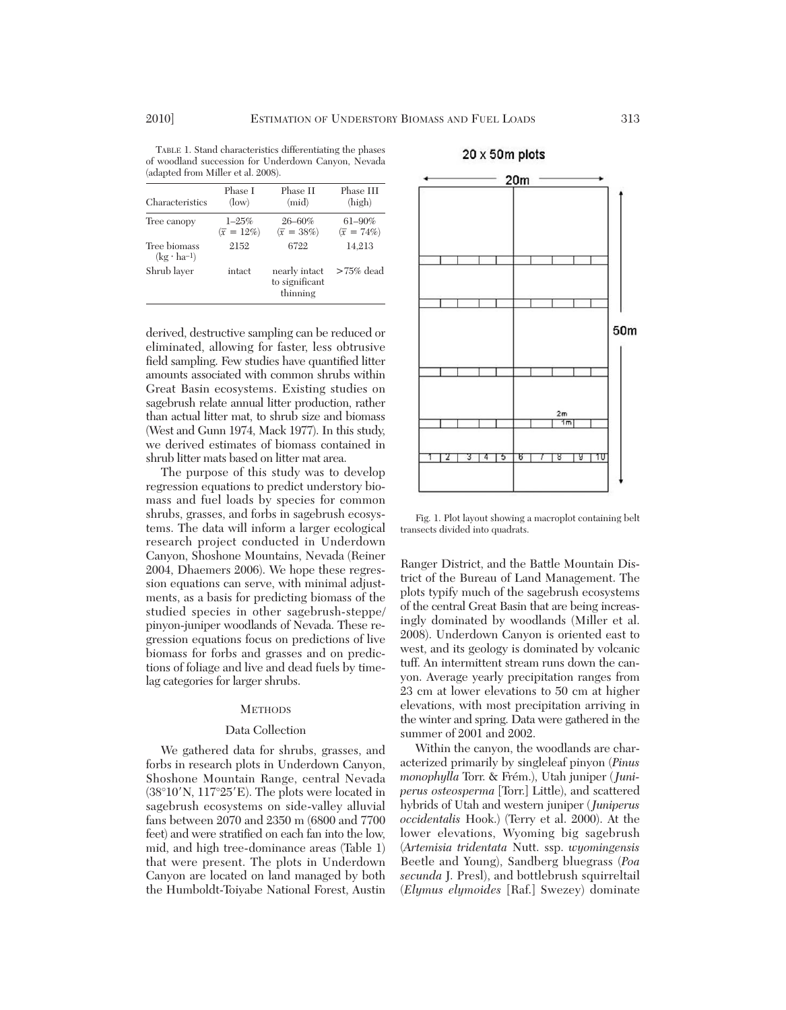TABLE 1. Stand characteristics differentiating the phases of woodland succession for Underdown Canyon, Nevada (adapted from Miller et al. 2008).

| Characteristics                      | Phase I<br>(low)                | Phase II<br>(mid)                           | Phase III<br>(high)               |
|--------------------------------------|---------------------------------|---------------------------------------------|-----------------------------------|
| Tree canopy                          | $1 - 25%$<br>$(\bar{x} = 12\%)$ | $26 - 60\%$<br>$(\bar{x} = 38\%)$           | $61 - 90\%$<br>$(\bar{x} = 74\%)$ |
| Tree biomass<br>$(kg \cdot ha^{-1})$ | 2152                            | 6722                                        | 14,213                            |
| Shrub laver                          | intact                          | nearly intact<br>to significant<br>thinning | $>75\%$ dead                      |

derived, destructive sampling can be reduced or eliminated, allowing for faster, less obtrusive field sampling. Few studies have quantified litter amounts associated with common shrubs within Great Basin ecosystems. Existing studies on sagebrush relate annual litter production, rather than actual litter mat, to shrub size and biomass (West and Gunn 1974, Mack 1977). In this study, we derived estimates of biomass contained in shrub litter mats based on litter mat area.

The purpose of this study was to develop regression equations to predict understory bio mass and fuel loads by species for common shrubs, grasses, and forbs in sagebrush ecosystems. The data will inform a larger ecological research project conducted in Underdown Canyon, Shoshone Mountains, Nevada (Reiner 2004, Dhaemers 2006). We hope these regression equations can serve, with minimal adjustments, as a basis for predicting biomass of the studied species in other sagebrush-steppe/ pinyon-juniper woodlands of Nevada. These re gression equations focus on predictions of live biomass for forbs and grasses and on predictions of foliage and live and dead fuels by timelag categories for larger shrubs.

#### **METHODS**

## Data Collection

We gathered data for shrubs, grasses, and forbs in research plots in Underdown Canyon, Shoshone Mountain Range, central Nevada  $(38^{\circ}10'$ N,  $117^{\circ}25'E)$ . The plots were located in sagebrush ecosystems on side-valley alluvial fans between 2070 and 2350 m (6800 and 7700 feet) and were stratified on each fan into the low, mid, and high tree-dominance areas (Table 1) that were present. The plots in Underdown Canyon are located on land managed by both the Humboldt-Toiyabe National Forest, Austin



Fig. 1. Plot layout showing a macroplot containing belt transects divided into quadrats.

Ranger District, and the Battle Mountain District of the Bureau of Land Management. The plots typify much of the sagebrush ecosystems of the central Great Basin that are being increasingly dominated by woodlands (Miller et al. 2008). Underdown Canyon is oriented east to west, and its geology is dominated by volcanic tuff. An intermittent stream runs down the canyon. Average yearly precipitation ranges from 23 cm at lower elevations to 50 cm at higher elevations, with most precipitation arriving in the winter and spring. Data were gathered in the summer of 2001 and 2002.

Within the canyon, the woodlands are characterized primarily by singleleaf pinyon (*Pinus monophylla* Torr. & Frém.), Utah juniper (*Juniperus osteosperma* [Torr.] Little), and scattered hybrids of Utah and western juniper (*Juniperus occidentalis* Hook.) (Terry et al. 2000). At the lower elevations, Wyoming big sagebrush (*Artemisia tridentata* Nutt. ssp. *wyomingensis* Beetle and Young), Sandberg bluegrass (*Poa se cunda* J. Presl), and bottlebrush squirreltail (*Elymus elymoides* [Raf.] Swezey) dominate

 $20 \times 50$ m plots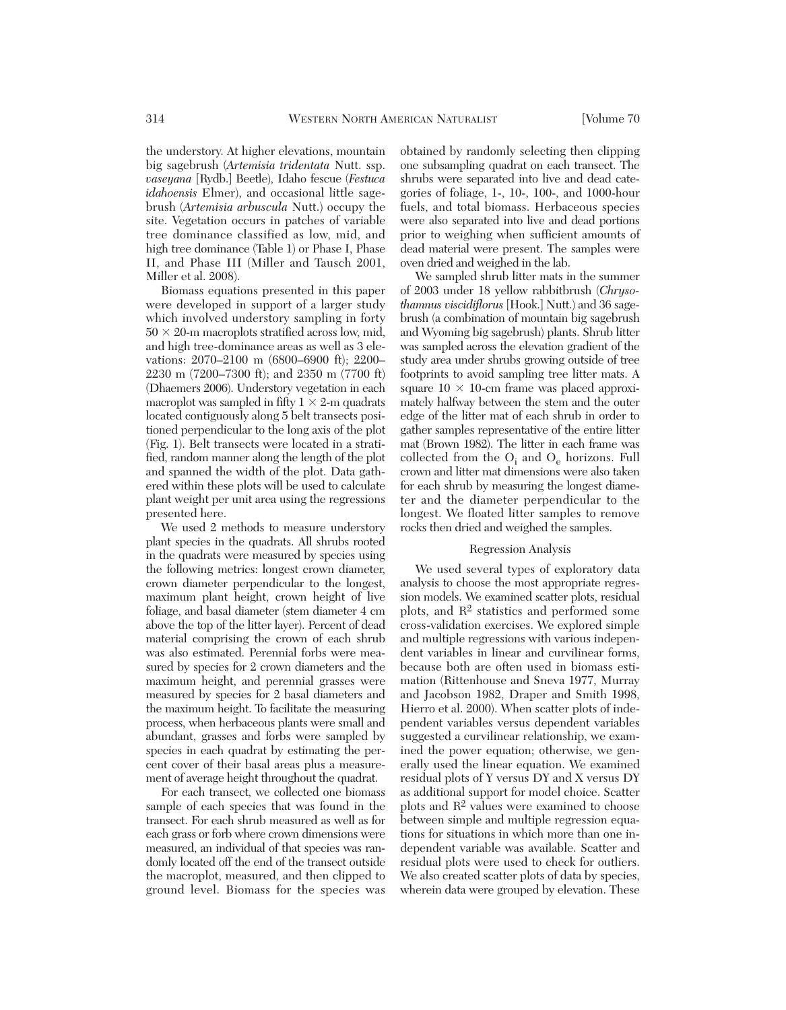the understory. At higher elevations, mountain big sagebrush (*Artemisia tridentata* Nutt. ssp. *vaseyana* [Rydb.] Beetle), Idaho fescue (*Festuca idahoensis* Elmer), and occasional little sagebrush (*Arte misia arbuscula* Nutt.) occupy the site. Vegetation occurs in patches of variable tree dominance classified as low, mid, and high tree dominance (Table 1) or Phase I, Phase II, and Phase III (Miller and Tausch 2001, Miller et al. 2008).

Biomass equations presented in this paper were developed in support of a larger study which involved understory sampling in forty  $50 \times 20$ -m macroplots stratified across low, mid, and high tree-dominance areas as well as 3 elevations: 2070–2100 m (6800–6900 ft); 2200– 2230 m (7200–7300 ft); and 2350 m (7700 ft) (Dhaemers 2006). Understory vegetation in each macroplot was sampled in fifty  $1 \times 2$ -m quadrats located contiguously along 5 belt transects positioned perpendicular to the long axis of the plot (Fig. 1). Belt transects were located in a stratified, random manner along the length of the plot and spanned the width of the plot. Data gathered within these plots will be used to calculate plant weight per unit area using the regressions presented here.

We used 2 methods to measure understory plant species in the quadrats. All shrubs rooted in the quadrats were measured by species using the following metrics: longest crown diameter, crown diameter perpendicular to the longest, maximum plant height, crown height of live foliage, and basal diameter (stem diameter 4 cm above the top of the litter layer). Percent of dead material comprising the crown of each shrub was also estimated. Perennial forbs were measured by species for 2 crown diameters and the maximum height, and perennial grasses were measured by species for 2 basal diameters and the maximum height. To facilitate the measuring process, when herbaceous plants were small and abundant, grasses and forbs were sampled by species in each quadrat by estimating the percent cover of their basal areas plus a measurement of average height throughout the quadrat.

For each transect, we collected one biomass sample of each species that was found in the transect. For each shrub measured as well as for each grass or forb where crown dimensions were measured, an individual of that species was randomly located off the end of the transect outside the macroplot, measured, and then clipped to ground level. Biomass for the species was

obtained by randomly selecting then clipping one subsampling quadrat on each transect. The shrubs were separated into live and dead categories of foliage, 1-, 10-, 100-, and 1000-hour fuels, and total biomass. Herbaceous species were also separated into live and dead portions prior to weighing when sufficient amounts of dead material were present. The samples were oven dried and weighed in the lab.

We sampled shrub litter mats in the summer of 2003 under 18 yellow rabbitbrush (*Chryso thamnus viscidiflorus* [Hook.] Nutt.) and 36 sage brush (a combination of mountain big sagebrush and Wyoming big sagebrush) plants. Shrub litter was sampled across the elevation gradient of the study area under shrubs growing outside of tree footprints to avoid sampling tree litter mats. A square  $10 \times 10$ -cm frame was placed approximately halfway between the stem and the outer edge of the litter mat of each shrub in order to gather samples representative of the entire litter mat (Brown 1982). The litter in each frame was collected from the  $O_i$  and  $O_e$  horizons. Full crown and litter mat dimensions were also taken for each shrub by measuring the longest diameter and the diameter perpendicular to the longest. We floated litter samples to remove rocks then dried and weighed the samples.

## Regression Analysis

We used several types of exploratory data analysis to choose the most appropriate regression models. We examined scatter plots, residual plots, and R2 statistics and performed some cross-validation exercises. We explored simple and multiple regressions with various independent variables in linear and curvilinear forms, because both are often used in biomass estimation (Rittenhouse and Sneva 1977, Murray and Jacobson 1982, Draper and Smith 1998, Hierro et al. 2000). When scatter plots of independent variables versus dependent variables suggested a curvilinear relationship, we examined the power equation; otherwise, we generally used the linear equation. We examined residual plots of Y versus DY and X versus DY as additional support for model choice. Scatter plots and R2 values were examined to choose between simple and multiple regression equations for situations in which more than one in dependent variable was available. Scatter and residual plots were used to check for outliers. We also created scatter plots of data by species, wherein data were grouped by elevation. These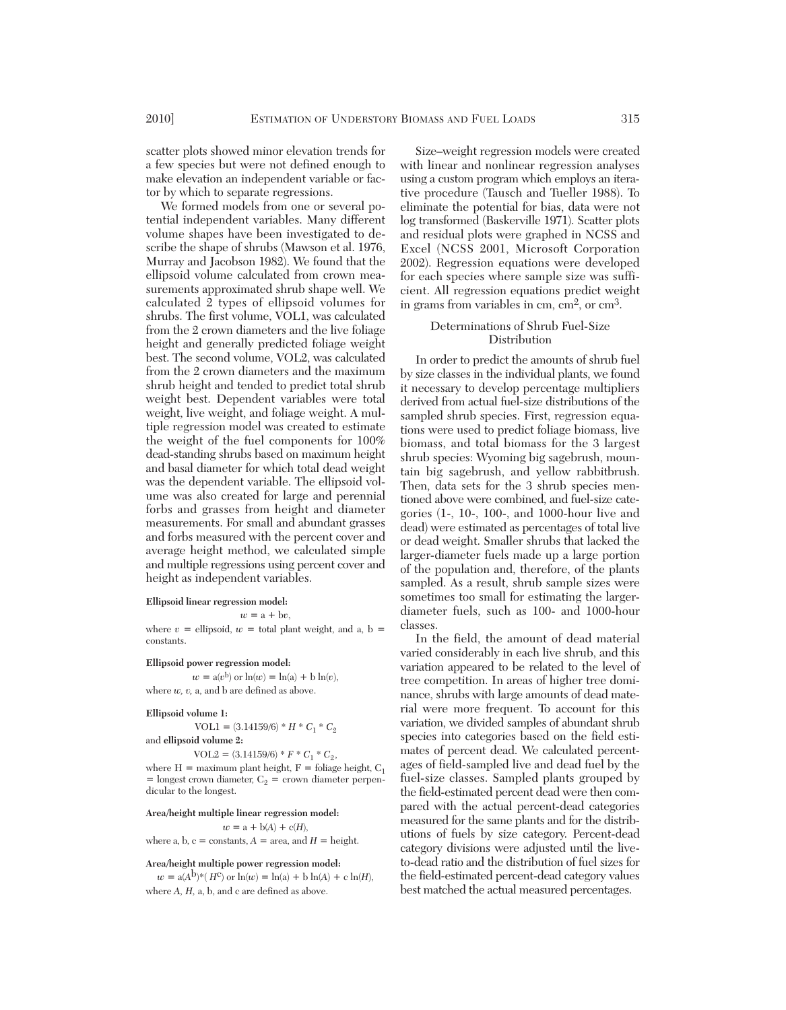scatter plots showed minor elevation trends for a few species but were not defined enough to make elevation an independent variable or factor by which to separate regressions.

We formed models from one or several potential independent variables. Many different volume shapes have been investigated to de scribe the shape of shrubs (Mawson et al. 1976, Murray and Jacobson 1982). We found that the ellipsoid volume calculated from crown measurements approximated shrub shape well. We calculated 2 types of ellipsoid volumes for shrubs. The first volume, VOL1, was calculated from the 2 crown diameters and the live foliage height and generally predicted foliage weight best. The second volume, VOL2, was calculated from the 2 crown diameters and the maximum shrub height and tended to predict total shrub weight best. Dependent variables were total weight, live weight, and foliage weight. A multiple regression model was created to estimate the weight of the fuel components for 100% dead-standing shrubs based on maximum height and basal diameter for which total dead weight was the dependent variable. The ellipsoid volume was also created for large and perennial forbs and grasses from height and diameter measurements. For small and abundant grasses and forbs measured with the percent cover and average height method, we calculated simple and multiple regressions using percent cover and height as independent variables.

#### **Ellipsoid linear regression model:**

 $w = a + bv$ 

where  $v =$  ellipsoid,  $w =$  total plant weight, and a, b = constants.

**Ellipsoid power regression model:**

 $w = a(v^b)$  or  $ln(w) = ln(a) + b ln(v)$ , where  $w$ ,  $v$ ,  $a$ , and  $b$  are defined as above.

**Ellipsoid volume 1:**

 $VOL1 = (3.14159/6) * H * C_1 * C_2$ 

and **ellipsoid volume 2:**

 $VOL2 = (3.14159/6) * F * C_1 * C_2,$ 

where  $H =$  maximum plant height,  $F =$  foliage height,  $C_1$  $=$  longest crown diameter,  $C_2 =$  crown diameter perpendicular to the longest.

#### **Area/height multiple linear regression model:**

 $w = a + b(A) + c(H)$ ,

where a, b,  $c =$  constants,  $A =$  area, and  $H =$  height.

## **Area/height multiple power regression model:**

 $w = a(A^{b})^*(H^c)$  or  $ln(w) = ln(a) + b ln(A) + c ln(H)$ , where *A, H,* a, b, and c are defined as above.

Size–weight regression models were created with linear and nonlinear regression analyses using a custom program which employs an iterative procedure (Tausch and Tueller 1988). To eliminate the potential for bias, data were not log transformed (Baskerville 1971). Scatter plots and residual plots were graphed in NCSS and Excel (NCSS 2001, Microsoft Corporation 2002). Regression equations were developed for each species where sample size was sufficient. All regression equations predict weight in grams from variables in cm,  $\text{cm}^2$ , or  $\text{cm}^3$ .

## Determinations of Shrub Fuel-Size Distribution

In order to predict the amounts of shrub fuel by size classes in the individual plants, we found it necessary to develop percentage multipliers derived from actual fuel-size distributions of the sampled shrub species. First, regression equations were used to predict foliage biomass, live biomass, and total biomass for the 3 largest shrub species: Wyoming big sagebrush, mountain big sagebrush, and yellow rabbitbrush. Then, data sets for the 3 shrub species mentioned above were combined, and fuel-size categories (1-, 10-, 100-, and 1000-hour live and dead) were estimated as percentages of total live or dead weight. Smaller shrubs that lacked the larger-diameter fuels made up a large portion of the population and, therefore, of the plants sampled. As a result, shrub sample sizes were sometimes too small for estimating the largerdiameter fuels, such as 100- and 1000-hour classes.

In the field, the amount of dead material varied considerably in each live shrub, and this variation appeared to be related to the level of tree competition. In areas of higher tree dominance, shrubs with large amounts of dead material were more frequent. To account for this variation, we divided samples of abundant shrub species into categories based on the field estimates of percent dead. We calculated percentages of field-sampled live and dead fuel by the fuel-size classes. Sampled plants grouped by the field-estimated percent dead were then compared with the actual percent-dead categories measured for the same plants and for the distributions of fuels by size category. Percent-dead category divisions were adjusted until the liveto-dead ratio and the distribution of fuel sizes for the field-estimated percent-dead category values best matched the actual measured percentages.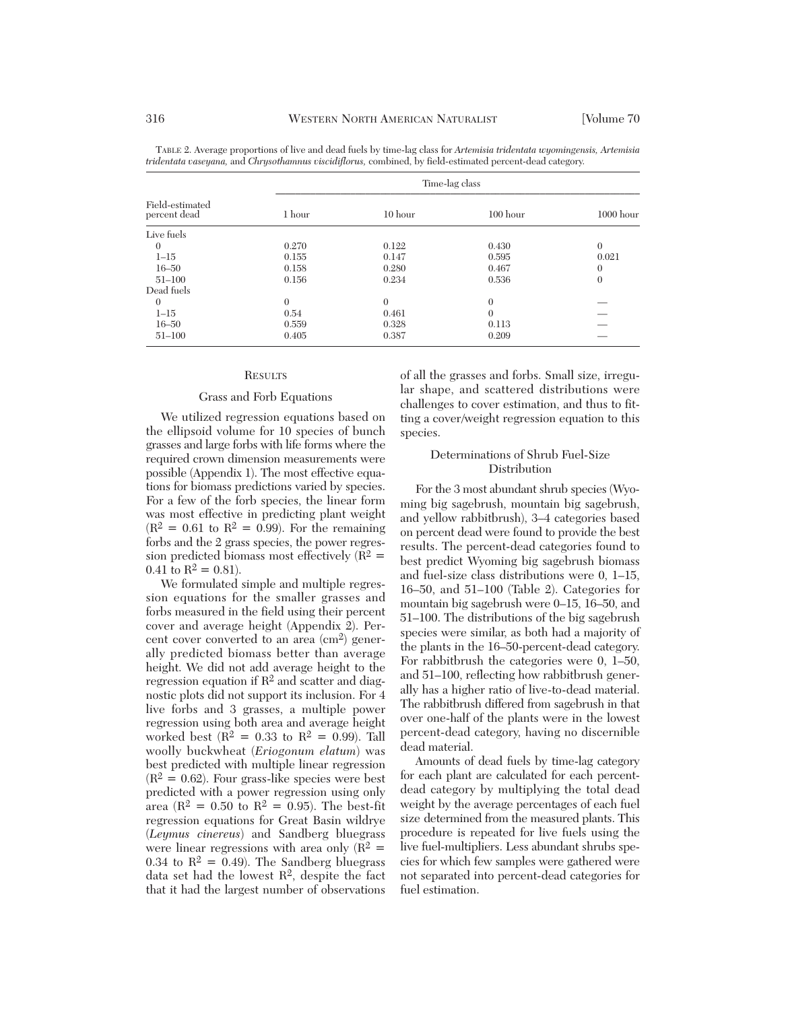|                                 |          |                | Time-lag class |                  |
|---------------------------------|----------|----------------|----------------|------------------|
| Field-estimated<br>percent dead | 1 hour   | $10$ hour      | $100$ hour     | $1000$ hour      |
| Live fuels                      |          |                |                |                  |
| $\theta$                        | 0.270    | 0.122          | 0.430          | $\theta$         |
| $1 - 15$                        | 0.155    | 0.147          | 0.595          | 0.021            |
| $16 - 50$                       | 0.158    | 0.280          | 0.467          | $\theta$         |
| $51 - 100$                      | 0.156    | 0.234          | 0.536          | $\boldsymbol{0}$ |
| Dead fuels                      |          |                |                |                  |
| $\theta$                        | $\Omega$ | $\overline{0}$ | $\theta$       |                  |
| $1 - 15$                        | 0.54     | 0.461          | $\theta$       |                  |
| $16 - 50$                       | 0.559    | 0.328          | 0.113          |                  |
| $51 - 100$                      | 0.405    | 0.387          | 0.209          |                  |

TABLE 2. Average proportions of live and dead fuels by time-lag class for *Artemisia tridentata wyomingensis, Artemisia tridentata vaseyana,* and *Chrysothamnus viscidiflorus,* combined, by field-estimated percent-dead category.

#### **RESULTS**

## Grass and Forb Equations

We utilized regression equations based on the ellipsoid volume for 10 species of bunch grasses and large forbs with life forms where the required crown dimension measurements were possible (Appendix 1). The most effective equations for biomass predictions varied by species. For a few of the forb species, the linear form was most effective in predicting plant weight  $(R^2 = 0.61$  to  $R^2 = 0.99$ ). For the remaining forbs and the 2 grass species, the power regression predicted biomass most effectively  $(R^2 =$ 0.41 to  $\mathbb{R}^2 = 0.81$ .

We formulated simple and multiple regression equations for the smaller grasses and forbs measured in the field using their percent cover and average height (Appendix 2). Percent cover converted to an area (cm2) generally predicted biomass better than average height. We did not add average height to the regression equation if R2 and scatter and diagnostic plots did not support its inclusion. For 4 live forbs and 3 grasses, a multiple power regression using both area and average height worked best ( $R^2 = 0.33$  to  $R^2 = 0.99$ ). Tall woolly buckwheat (*Eriogonum elatum*) was best predicted with multiple linear regression  $(R^2 = 0.62)$ . Four grass-like species were best predicted with a power regression using only area ( $R^2 = 0.50$  to  $R^2 = 0.95$ ). The best-fit regression equations for Great Basin wildrye (*Leymus cinereus*) and Sandberg bluegrass were linear regressions with area only  $(R^2 =$ 0.34 to  $\mathbb{R}^2 = 0.49$ . The Sandberg bluegrass data set had the lowest  $R^2$ , despite the fact that it had the largest number of observations

of all the grasses and forbs. Small size, irregular shape, and scattered distributions were challenges to cover estimation, and thus to fitting a cover/weight regression equation to this species.

## Determinations of Shrub Fuel-Size **Distribution**

For the 3 most abundant shrub species (Wyoming big sagebrush, mountain big sagebrush, and yellow rabbitbrush), 3–4 categories based on percent dead were found to provide the best results. The percent-dead categories found to best predict Wyoming big sagebrush biomass and fuel-size class distributions were 0, 1–15, 16–50, and 51–100 (Table 2). Categories for mountain big sagebrush were 0–15, 16–50, and 51–100. The distributions of the big sagebrush species were similar, as both had a majority of the plants in the 16–50-percent-dead category. For rabbitbrush the categories were 0, 1–50, and 51–100, reflecting how rabbitbrush generally has a higher ratio of live-to-dead material. The rabbitbrush differed from sagebrush in that over one-half of the plants were in the lowest percent-dead category, having no discernible dead material.

Amounts of dead fuels by time-lag category for each plant are calculated for each percentdead category by multiplying the total dead weight by the average percentages of each fuel size determined from the measured plants. This procedure is repeated for live fuels using the live fuel-multipliers. Less abundant shrubs species for which few samples were gathered were not separated into percent-dead categories for fuel estimation.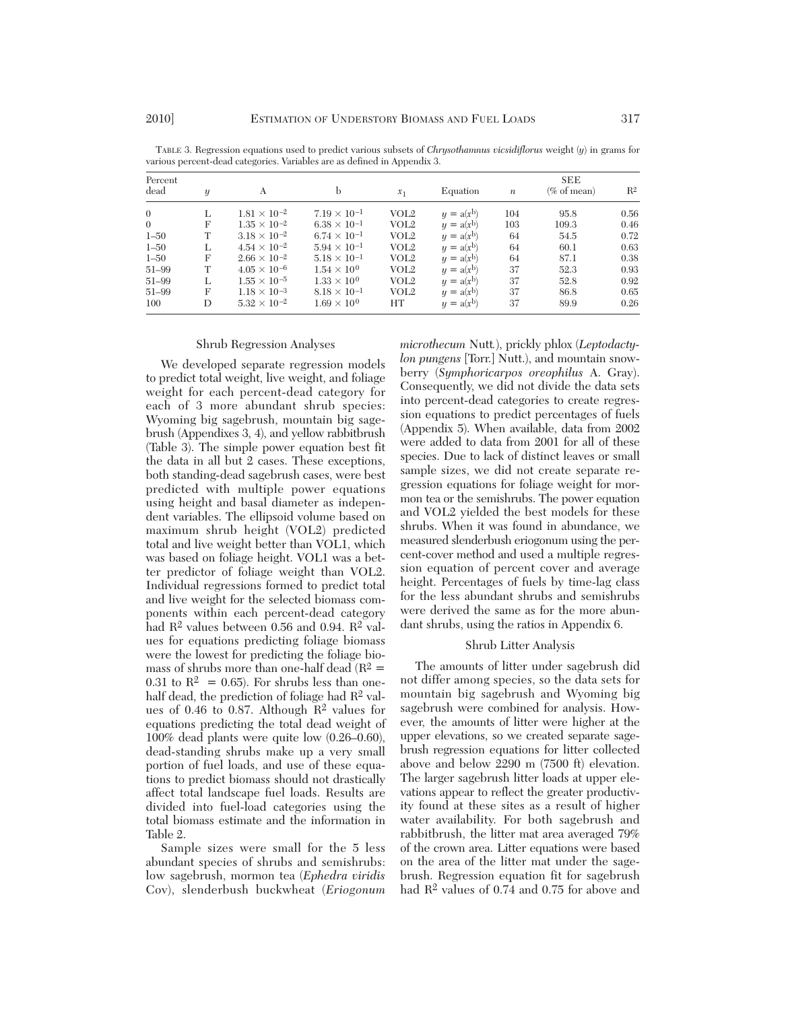| Percent<br>dead | y | A                     |                       | $x_1$            | Equation     | $\boldsymbol{n}$ | <b>SEE</b><br>(% of mean) | R <sup>2</sup> |
|-----------------|---|-----------------------|-----------------------|------------------|--------------|------------------|---------------------------|----------------|
| $\theta$        | L | $1.81 \times 10^{-2}$ | $7.19 \times 10^{-1}$ | VOL <sub>2</sub> | $y = a(x^b)$ | 104              | 95.8                      | 0.56           |
| $\Omega$        | F | $1.35 \times 10^{-2}$ | $6.38 \times 10^{-1}$ | VOL2             | $y = a(x^b)$ | 103              | 109.3                     | 0.46           |
| $1 - 50$        | T | $3.18 \times 10^{-2}$ | $6.74 \times 10^{-1}$ | VOL2             | $y = a(x^b)$ | 64               | 54.5                      | 0.72           |
| $1 - 50$        | L | $4.54 \times 10^{-2}$ | $5.94 \times 10^{-1}$ | VOL <sub>2</sub> | $y = a(x^b)$ | 64               | 60.1                      | 0.63           |
| $1 - 50$        | F | $2.66 \times 10^{-2}$ | $5.18 \times 10^{-1}$ | VOL <sub>2</sub> | $y = a(x^b)$ | 64               | 87.1                      | 0.38           |
| $51 - 99$       | T | $4.05 \times 10^{-6}$ | $1.54 \times 10^{0}$  | VOL <sub>2</sub> | $y = a(x^b)$ | 37               | 52.3                      | 0.93           |
| $51 - 99$       |   | $1.55 \times 10^{-5}$ | $1.33 \times 10^{0}$  | VOL2             | $y = a(x^b)$ | 37               | 52.8                      | 0.92           |
| $51 - 99$       | F | $1.18 \times 10^{-3}$ | $8.18 \times 10^{-1}$ | VOL2             | $y = a(x^b)$ | 37               | 86.8                      | 0.65           |
| 100             | D | $5.32 \times 10^{-2}$ | $1.69 \times 10^{0}$  | HТ               | $y = a(x^b)$ | 37               | 89.9                      | 0.26           |

TABLE 3. Regression equations used to predict various subsets of *Chrysothamnus vicsidiflorus* weight (*y*) in grams for various percent-dead categories. Variables are as defined in Appendix 3.

#### Shrub Regression Analyses

We developed separate regression models to predict total weight, live weight, and foliage weight for each percent-dead category for each of 3 more abundant shrub species: Wyoming big sagebrush, mountain big sagebrush (Appendixes 3, 4), and yellow rabbitbrush (Table 3). The simple power equation best fit the data in all but 2 cases. These exceptions, both standing-dead sagebrush cases, were best predicted with multiple power equations using height and basal diameter as independent variables. The ellipsoid volume based on maximum shrub height (VOL2) predicted total and live weight better than VOL1, which was based on foliage height. VOL1 was a better predictor of foliage weight than VOL2. Individual regressions formed to predict total and live weight for the selected biomass components within each percent-dead category had  $\mathbb{R}^2$  values between 0.56 and 0.94.  $\mathbb{R}^2$  values for equations predicting foliage biomass were the lowest for predicting the foliage biomass of shrubs more than one-half dead ( $R^2$  = 0.31 to  $\mathbb{R}^2 = 0.65$ . For shrubs less than onehalf dead, the prediction of foliage had  $\mathbb{R}^2$  values of 0.46 to 0.87. Although  $\mathbb{R}^2$  values for equations predicting the total dead weight of 100% dead plants were quite low (0.26–0.60), dead-standing shrubs make up a very small portion of fuel loads, and use of these equations to predict biomass should not drastically affect total landscape fuel loads. Results are divided into fuel-load categories using the total biomass estimate and the information in Table 2.

Sample sizes were small for the 5 less abundant species of shrubs and semishrubs: low sagebrush, mormon tea (*Ephedra viridis* Cov), slenderbush buckwheat (*Eriogonum* *microthecum* Nutt*.*), prickly phlox (*Leptodactylon pungens* [Torr.] Nutt.), and mountain snowberry (*Symphoricarpos oreophilus* A. Gray). Consequently, we did not divide the data sets into percent-dead categories to create regression equations to predict percentages of fuels (Ap pendix 5). When available, data from 2002 were added to data from 2001 for all of these species. Due to lack of distinct leaves or small sample sizes, we did not create separate regression equations for foliage weight for mormon tea or the semishrubs. The power equation and VOL2 yielded the best models for these shrubs. When it was found in abundance, we measured slenderbush eriogonum using the percent-cover method and used a multiple regression equation of percent cover and average height. Percentages of fuels by time-lag class for the less abundant shrubs and semishrubs were derived the same as for the more abundant shrubs, using the ratios in Appendix 6.

#### Shrub Litter Analysis

The amounts of litter under sagebrush did not differ among species, so the data sets for mountain big sagebrush and Wyoming big sagebrush were combined for analysis. However, the amounts of litter were higher at the upper elevations, so we created separate sagebrush regression equations for litter collected above and below 2290 m (7500 ft) elevation. The larger sagebrush litter loads at upper elevations appear to reflect the greater productivity found at these sites as a result of higher water availability. For both sagebrush and rabbitbrush, the litter mat area averaged 79% of the crown area. Litter equations were based on the area of the litter mat under the sagebrush. Regression equation fit for sagebrush had  $\mathbb{R}^2$  values of 0.74 and 0.75 for above and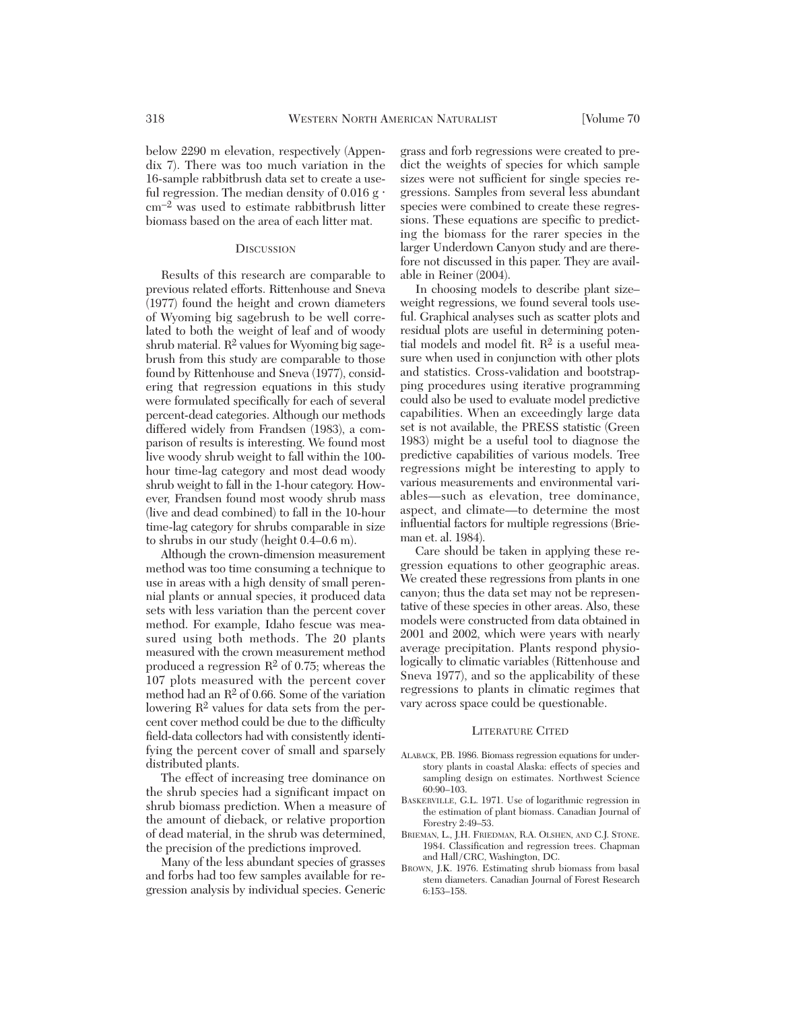below 2290 m elevation, respectively (Appendix 7). There was too much variation in the 16-sample rabbitbrush data set to create a useful regression. The median density of  $0.016$  g $\cdot$ cm–2 was used to estimate rabbitbrush litter biomass based on the area of each litter mat.

#### **DISCUSSION**

Results of this research are comparable to previous related efforts. Rittenhouse and Sneva (1977) found the height and crown diameters of Wyoming big sagebrush to be well correlated to both the weight of leaf and of woody shrub material.  $R^2$  values for Wyoming big sagebrush from this study are comparable to those found by Rittenhouse and Sneva (1977), considering that regression equations in this study were formulated specifically for each of several percent-dead categories. Although our methods differed widely from Frandsen (1983), a comparison of results is interesting. We found most live woody shrub weight to fall within the 100 hour time-lag category and most dead woody shrub weight to fall in the 1-hour category. However, Frandsen found most woody shrub mass (live and dead combined) to fall in the 10-hour time-lag category for shrubs comparable in size to shrubs in our study (height 0.4–0.6 m).

Although the crown-dimension measurement method was too time consuming a technique to use in areas with a high density of small perennial plants or annual species, it produced data sets with less variation than the percent cover method. For example, Idaho fescue was measured using both methods. The 20 plants measured with the crown measurement method produced a regression  $R^2$  of 0.75; whereas the 107 plots measured with the percent cover method had an  $\mathbb{R}^2$  of 0.66. Some of the variation lowering R2 values for data sets from the percent cover method could be due to the difficulty field-data collectors had with consistently identifying the percent cover of small and sparsely distributed plants.

The effect of increasing tree dominance on the shrub species had a significant impact on shrub biomass prediction. When a measure of the amount of dieback, or relative proportion of dead material, in the shrub was determined, the precision of the predictions improved.

Many of the less abundant species of grasses and forbs had too few samples available for re gression analysis by individual species. Generic

grass and forb regressions were created to predict the weights of species for which sample sizes were not sufficient for single species re gressions. Samples from several less abundant species were combined to create these regressions. These equations are specific to predicting the biomass for the rarer species in the larger Underdown Canyon study and are therefore not discussed in this paper. They are available in Reiner (2004).

In choosing models to describe plant size– weight regressions, we found several tools useful. Graphical analyses such as scatter plots and residual plots are useful in determining potential models and model fit.  $\mathbb{R}^2$  is a useful measure when used in conjunction with other plots and statistics. Cross-validation and bootstrapping procedures using iterative programming could also be used to evaluate model predictive capabilities. When an exceedingly large data set is not available, the PRESS statistic (Green 1983) might be a useful tool to diagnose the predictive capabilities of various models. Tree regressions might be interesting to apply to various measurements and environmental variables—such as elevation, tree dominance, aspect, and climate—to determine the most influential factors for multiple regressions (Brieman et. al. 1984).

Care should be taken in applying these regression equations to other geographic areas. We created these regressions from plants in one canyon; thus the data set may not be representative of these species in other areas. Also, these models were constructed from data obtained in 2001 and 2002, which were years with nearly average precipitation. Plants respond physiologically to climatic variables (Rittenhouse and Sneva 1977), and so the applicability of these regressions to plants in climatic regimes that vary across space could be questionable.

#### LITERATURE CITED

- ALABACK, P.B. 1986. Biomass regression equations for understory plants in coastal Alaska: effects of species and sampling design on estimates. Northwest Science 60:90–103.
- BASKERVILLE, G.L. 1971. Use of logarithmic regression in the estimation of plant biomass. Canadian Journal of Forestry 2:49–53.
- BRIEMAN, L., J.H. FRIEDMAN, R.A. OLSHEN, AND C.J. STONE. 1984. Classification and regression trees. Chapman and Hall/CRC, Washington, DC.
- BROWN, J.K. 1976. Estimating shrub biomass from basal stem diameters. Canadian Journal of Forest Research 6:153–158.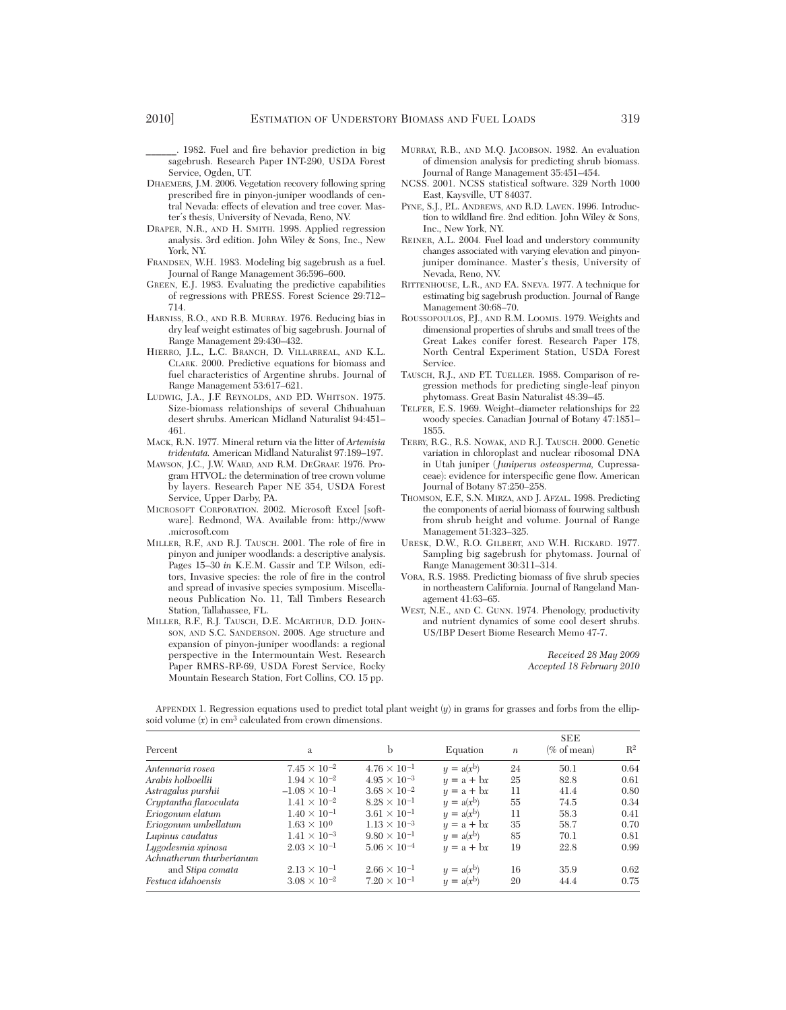- \_\_\_\_\_\_. 1982. Fuel and fire behavior prediction in big sagebrush. Research Paper INT-290, USDA Forest Service, Ogden, UT.
- DHAEMERS, J.M. 2006. Vegetation recovery following spring prescribed fire in pinyon-juniper woodlands of central Nevada: effects of elevation and tree cover. Master's thesis, University of Nevada, Reno, NV.
- DRAPER, N.R., AND H. SMITH. 1998. Applied regression analysis. 3rd edition. John Wiley & Sons, Inc., New York, NY.
- FRANDSEN, W.H. 1983. Modeling big sagebrush as a fuel. Journal of Range Management 36:596–600.
- GREEN, E.J. 1983. Evaluating the predictive capabilities of regressions with PRESS. Forest Science 29:712– 714.
- HARNISS, R.O., AND R.B. MURRAY. 1976. Reducing bias in dry leaf weight estimates of big sagebrush. Journal of Range Management 29:430–432.
- HIERRO, J.L., L.C. BRANCH, D. VILLARREAL, AND K.L. CLARK. 2000. Predictive equations for biomass and fuel characteristics of Argentine shrubs. Journal of Range Management 53:617–621.
- LUDWIG, J.A., J.F. REYNOLDS, AND P.D. WHITSON. 1975. Size-biomass relationships of several Chihuahuan desert shrubs. American Midland Naturalist 94:451– 461.
- MACK, R.N. 1977. Mineral return via the litter of *Artemisia tridentata.* American Midland Naturalist 97:189–197.
- MAWSON, J.C., J.W. WARD, AND R.M. DEGRAAF. 1976. Program HTVOL: the determination of tree crown volume by layers. Research Paper NE 354, USDA Forest Service, Upper Darby, PA.
- MICROSOFT CORPORATION. 2002. Microsoft Excel [software]. Redmond, WA. Available from: http://www .microsoft.com
- MILLER, R.F., AND R.J. TAUSCH. 2001. The role of fire in pinyon and juniper woodlands: a descriptive analysis. Pages 15–30 *in* K.E.M. Gassir and T.P. Wilson, editors, Invasive species: the role of fire in the control and spread of invasive species symposium. Miscellaneous Publication No. 11, Tall Timbers Research Station, Tallahassee, FL.
- MILLER, R.F., R.J. TAUSCH, D.E. MCARTHUR, D.D. JOHN-SON, AND S.C. SANDERSON. 2008. Age structure and expansion of pinyon-juniper woodlands: a regional perspective in the Intermountain West. Research Paper RMRS-RP-69, USDA Forest Service, Rocky Mountain Research Station, Fort Collins, CO. 15 pp.
- MURRAY, R.B., AND M.Q. JACOBSON. 1982. An evaluation of dimension analysis for predicting shrub biomass. Journal of Range Management 35:451–454.
- NCSS. 2001. NCSS statistical software. 329 North 1000 East, Kaysville, UT 84037.
- PYNE, S.J., P.L. ANDREWS, AND R.D. LAVEN. 1996. Introduction to wildland fire. 2nd edition. John Wiley & Sons, Inc., New York, NY.
- REINER, A.L. 2004. Fuel load and understory community changes associated with varying elevation and pinyonjuniper dominance. Master's thesis, University of Nevada, Reno, NV.
- RITTENHOUSE, L.R., AND F.A. SNEVA. 1977. A technique for estimating big sagebrush production. Journal of Range Management 30:68–70.
- ROUSSOPOULOS, P.J., AND R.M. LOOMIS. 1979. Weights and dimensional properties of shrubs and small trees of the Great Lakes conifer forest. Research Paper 178, North Central Experiment Station, USDA Forest Service.
- TAUSCH, R.J., AND P.T. TUELLER. 1988. Comparison of regression methods for predicting single-leaf pinyon phytomass. Great Basin Naturalist 48:39–45.
- TELFER, E.S. 1969. Weight–diameter relationships for 22 woody species. Canadian Journal of Botany 47:1851– 1855.
- TERRY, R.G., R.S. NOWAK, AND R.J. TAUSCH. 2000. Genetic variation in chloroplast and nuclear ribosomal DNA in Utah juniper (*Juniperus osteosperma,* Cupressa ceae): evidence for interspecific gene flow. American Journal of Botany 87:250–258.
- THOMSON, E.F., S.N. MIRZA, AND J. AFZAL. 1998. Predicting the components of aerial biomass of fourwing saltbush from shrub height and volume. Journal of Range Management 51:323–325.
- URESK, D.W., R.O. GILBERT, AND W.H. RICKARD. 1977. Sampling big sagebrush for phytomass. Journal of Range Management 30:311–314.
- VORA, R.S. 1988. Predicting biomass of five shrub species in northeastern California. Journal of Rangeland Management 41:63–65.
- WEST, N.E., AND C. GUNN. 1974. Phenology, productivity and nutrient dynamics of some cool desert shrubs. US/IBP Desert Biome Research Memo 47-7.

*Received 28 May 2009 Accepted 18 February 2010*

APPENDIX 1. Regression equations used to predict total plant weight (*y*) in grams for grasses and forbs from the ellipsoid volume  $(x)$  in  $cm<sup>3</sup>$  calculated from crown dimensions.

| Percent                  | a                      | b                     | Equation     | $\boldsymbol{n}$ | <b>SEE</b><br>(% of mean) | $R^2$ |
|--------------------------|------------------------|-----------------------|--------------|------------------|---------------------------|-------|
| Antennaria rosea         | $7.45 \times 10^{-2}$  | $4.76 \times 10^{-1}$ | $y = a(x^b)$ | 24               | 50.1                      | 0.64  |
| Arabis holboellii        | $1.94 \times 10^{-2}$  | $4.95 \times 10^{-3}$ | $y = a + bx$ | 25               | 82.8                      | 0.61  |
| Astragalus purshii       | $-1.08 \times 10^{-1}$ | $3.68 \times 10^{-2}$ | $y = a + bx$ | 11               | 41.4                      | 0.80  |
| Cryptantha flavoculata   | $1.41 \times 10^{-2}$  | $8.28 \times 10^{-1}$ | $y = a(x^b)$ | 55               | 74.5                      | 0.34  |
| Eriogonum elatum         | $1.40 \times 10^{-1}$  | $3.61 \times 10^{-1}$ | $y = a(x^b)$ | 11               | 58.3                      | 0.41  |
| Eriogonum umbellatum     | $1.63 \times 10^{0}$   | $1.13 \times 10^{-3}$ | $y = a + bx$ | 35               | 58.7                      | 0.70  |
| Lupinus caudatus         | $1.41 \times 10^{-3}$  | $9.80 \times 10^{-1}$ | $y = a(x^b)$ | 85               | 70.1                      | 0.81  |
| Lygodesmia spinosa       | $2.03 \times 10^{-1}$  | $5.06 \times 10^{-4}$ | $y = a + bx$ | 19               | 22.8                      | 0.99  |
| Achnatherum thurberianum |                        |                       |              |                  |                           |       |
| and <i>Stipa comata</i>  | $2.13 \times 10^{-1}$  | $2.66 \times 10^{-1}$ | $y = a(x^b)$ | 16               | 35.9                      | 0.62  |
| Festuca idahoensis       | $3.08 \times 10^{-2}$  | $7.20 \times 10^{-1}$ | $y = a(x^b)$ | 20               | 44.4                      | 0.75  |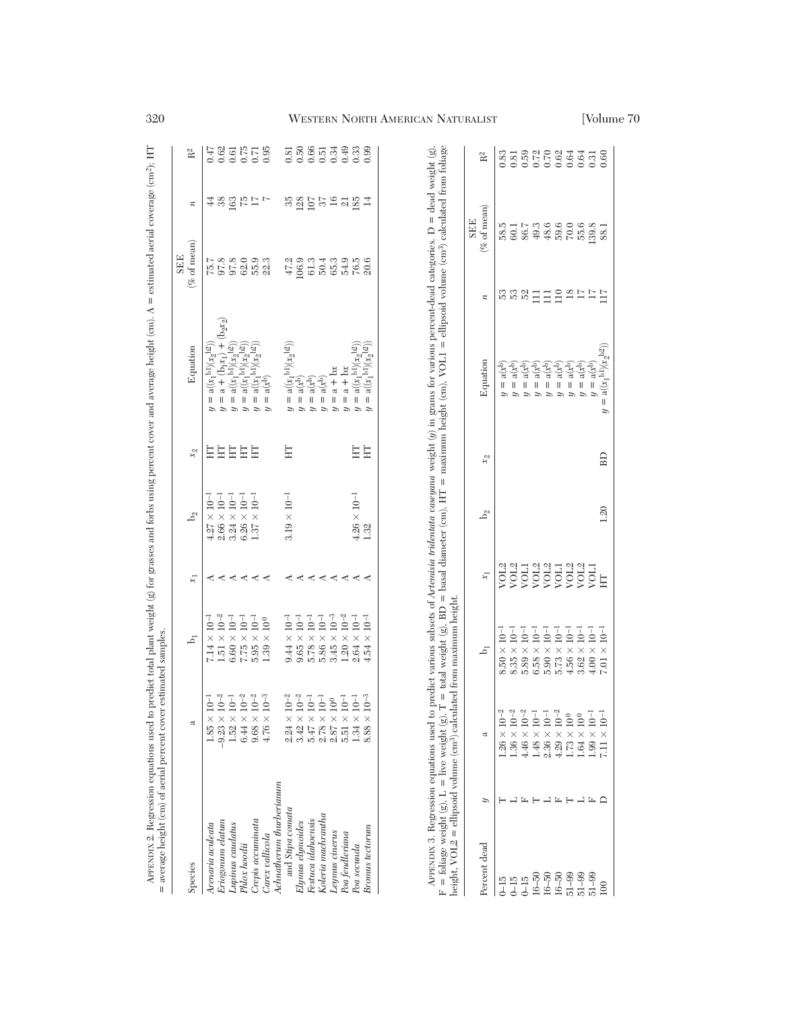| = average height (cm) of aerial percent cover estimated samples                             |                                                                           |                       |         |                       |                  |                                                                                                                                                                                                                                                                                                                                                                                                                                    |                                               |                  |                |
|---------------------------------------------------------------------------------------------|---------------------------------------------------------------------------|-----------------------|---------|-----------------------|------------------|------------------------------------------------------------------------------------------------------------------------------------------------------------------------------------------------------------------------------------------------------------------------------------------------------------------------------------------------------------------------------------------------------------------------------------|-----------------------------------------------|------------------|----------------|
| Species                                                                                     | ದ                                                                         | ā                     | ਸ਼      | $b_2$                 | $\mathfrak{L}_2$ | Equation                                                                                                                                                                                                                                                                                                                                                                                                                           | (% of mean)<br><b>SEE</b>                     | $\boldsymbol{n}$ | R <sup>2</sup> |
| Arenaria aculeata                                                                           | $1.85 \times 10^{-1}$                                                     | $7.14 \times 10^{-7}$ |         | $4.27 \times 10^{-1}$ | Ë                | $a((x_1^{b1})(x_2^{b2}))$<br>$\mathbf{I}$                                                                                                                                                                                                                                                                                                                                                                                          | 75.7                                          | 4                | 0.47           |
| Eriogonum elatum                                                                            | $-9.23 \times 10^{-2}$                                                    | $1.51 \times 10^{-2}$ |         | $2.66 \times 10^{-1}$ | E                | $=$ a + (b <sub>1</sub> x <sub>1</sub> ) + (b <sub>2</sub> x <sub>2</sub> )                                                                                                                                                                                                                                                                                                                                                        | 97.8                                          | 38               |                |
| Lupinus caudatus                                                                            |                                                                           | $6.60 \times 10^{-1}$ | ≺ ≺     | $3.24 \times 10^{-1}$ | E                | = $a((x_1^{b_1})(x_2^{b_2}))$                                                                                                                                                                                                                                                                                                                                                                                                      | 97.8                                          |                  |                |
| Phlox hoodii                                                                                | $\begin{array}{c} 1.52\times 10^{-1}\\ 6.44\times 10^{-2} \end{array}$    | $7.75 \times 10^{-1}$ | ≺       | $6.26 \times 10^{-1}$ | E                | $\mathbf{a}((x_1^{\mathrm{b1}})(x_2^{\mathrm{b2}})$<br>$\mathbf{I}$<br>$\tilde{a}$                                                                                                                                                                                                                                                                                                                                                 | 62.0                                          | $163$ $75$       |                |
| Crepis accuminata                                                                           | $9.68\times10^{-2}$                                                       | $5.95 \times 10^{-1}$ | ≺       | $1.37 \times 10^{-1}$ | Ë                | $\mathsf{I}$                                                                                                                                                                                                                                                                                                                                                                                                                       | 55.9                                          | $\Gamma$         |                |
| Carex vallicola                                                                             | $4.76\times10^{-3}$                                                       | $1.39\times10^{0}$    | ≺       |                       |                  | = $a((x_1^{b1})(x_2^{b2}))$<br>= $a(x^b)$<br>$\mathsf{I}$<br>$\tilde{a}$                                                                                                                                                                                                                                                                                                                                                           | 22.3                                          | Ŀ                |                |
| Achnatherum thurberianum                                                                    |                                                                           |                       |         |                       |                  |                                                                                                                                                                                                                                                                                                                                                                                                                                    |                                               |                  |                |
| and Stipa comata                                                                            | $2.24 \times 10^{-2}$                                                     | $9.44 \times 10^{-1}$ | ≺       | $3.19 \times 10^{-1}$ | Ë                | $\mathbf{a}((x_1{}^{\mathrm{b}1})(x_2{}^{\mathrm{b}2}))$<br>$\mathsf{II}$                                                                                                                                                                                                                                                                                                                                                          | 47.2                                          | సె               | 0.81           |
| Elymus elymoides                                                                            | $3.42 \times 10^{-2}$                                                     | $9.65 \times 10^{-1}$ | ≺       |                       |                  | $\mathbf{a}(\mathbf{x}^\mathrm{b})$<br>$\mathsf{II}$                                                                                                                                                                                                                                                                                                                                                                               | 106.9                                         | 128              | 0.50           |
| Festuca idahoensis                                                                          | $5.47\times10^{-1}$                                                       | $5.78 \times 10^{-1}$ | $\prec$ |                       |                  | $a(x^b)$<br>$\mathbf{I}$                                                                                                                                                                                                                                                                                                                                                                                                           | 61.3                                          | 107              |                |
| Koleria machrantha                                                                          |                                                                           | $5.86 \times 10^{-1}$ | $\prec$ |                       |                  | $= a(xb)$<br>$\tilde{a}$                                                                                                                                                                                                                                                                                                                                                                                                           | 50.4                                          | 57               |                |
| Leymus cinerus                                                                              | $\begin{array}{l} 2.78 \times 10^{-1} \\ 2.87 \times 10^{0} \end{array}$  | $3.45 \times 10^{-3}$ | ≺       |                       |                  | $a + bx$<br>$y =$                                                                                                                                                                                                                                                                                                                                                                                                                  | 65.3                                          | 16               |                |
| Poa fendleriana                                                                             | $\begin{array}{c} 5.51 \times 10^{-1} \\ 1.34 \times 10^{-1} \end{array}$ | $1.20 \times 10^{-2}$ | ≺       |                       |                  | $=$ $a + b$                                                                                                                                                                                                                                                                                                                                                                                                                        | 54.9                                          | $\overline{21}$  |                |
| Poa secunda                                                                                 |                                                                           | $2.64 \times 10^{-1}$ | ≺       | $4.26 \times 10^{-1}$ | Ë                | $= a(x_1^{b_1})(x_2^{b_2})$<br>$\tilde{a}$                                                                                                                                                                                                                                                                                                                                                                                         | 76.5                                          | 185              |                |
| <b>Bromus</b> tectorum                                                                      | $8.88\times10^{-3}$                                                       | $4.54 \times 10^{-1}$ |         | 1.32                  | Ë                | $a((x_1^{b1})(x_2^{b2}))$<br>$\mathsf{I}$                                                                                                                                                                                                                                                                                                                                                                                          | 20.6                                          |                  | 0.99           |
|                                                                                             |                                                                           |                       |         |                       |                  |                                                                                                                                                                                                                                                                                                                                                                                                                                    |                                               |                  |                |
|                                                                                             |                                                                           |                       |         |                       |                  |                                                                                                                                                                                                                                                                                                                                                                                                                                    |                                               |                  |                |
|                                                                                             |                                                                           |                       |         |                       |                  |                                                                                                                                                                                                                                                                                                                                                                                                                                    |                                               |                  |                |
|                                                                                             |                                                                           |                       |         |                       |                  | $F = \text{foliage weight}(g)$ , $L = \text{live weight}(g)$ , $\overline{T} = \text{total weight}(g)$ , $BD = \text{basal diameter (cm)}$ , $HT = \text{maximum height (cm)}$ , $VOL1 = \text{ellipsoid volume (cm}^3)$ calculated from foliage<br>APPENDIX 3. Regression equations used to predict various subsets of Artemisia tridentata caseyana weight (y) in grams for various percent-dead categories. D = dead weight (g) |                                               |                  |                |
| height, VOL2 = ellipsoid volume $\langle$ cm <sup>3</sup> ) calculated from maximum height. |                                                                           |                       |         |                       |                  |                                                                                                                                                                                                                                                                                                                                                                                                                                    |                                               |                  |                |
| Percent dead                                                                                |                                                                           |                       | ξĪ,     | $b_2$                 | $x_2$            | Equation                                                                                                                                                                                                                                                                                                                                                                                                                           | (% of mean)<br><b>SEE</b><br>$\boldsymbol{n}$ |                  | $R^2$          |

|                                                                              | height, VOL2 = ellipsoid volume (cm <sup>3</sup> ) calculat<br>$=$ foliage weight (g), $L =$ live weight (g), | = total weight (g). BD = basal diameter (cm). HT =<br>maximum hejgh |            |                |       | APPENDIX 3. Kegression equations used to predict various subsets of <i>Artemasa buseuau weight (u</i> ) in grams for various percent-dead categories. D = dead weight (g)<br>maximum height (cm). $VOI.1 =$ ellipsoid volume (cm <sup>3</sup> ) calculated |     |                                                                                                                                                                                                                                                                                                                                                   | $+$ mm                                           |
|------------------------------------------------------------------------------|---------------------------------------------------------------------------------------------------------------|---------------------------------------------------------------------|------------|----------------|-------|------------------------------------------------------------------------------------------------------------------------------------------------------------------------------------------------------------------------------------------------------------|-----|---------------------------------------------------------------------------------------------------------------------------------------------------------------------------------------------------------------------------------------------------------------------------------------------------------------------------------------------------|--------------------------------------------------|
| Percent dead                                                                 |                                                                                                               | $\overline{5}$                                                      | $\kappa_1$ |                | $x_2$ | Equation                                                                                                                                                                                                                                                   |     | $%$ of mean<br><b>SEE</b>                                                                                                                                                                                                                                                                                                                         | R <sup>2</sup>                                   |
| $\frac{5}{1}$                                                                | .26 $\times$ 10 <sup>-2</sup>                                                                                 | $8.50 \times 10^{-1}$                                               |            |                |       |                                                                                                                                                                                                                                                            |     |                                                                                                                                                                                                                                                                                                                                                   |                                                  |
|                                                                              | $1.36\times10^{-2}$                                                                                           | $9.35\times10^{-1}$                                                 |            |                |       |                                                                                                                                                                                                                                                            |     |                                                                                                                                                                                                                                                                                                                                                   |                                                  |
|                                                                              |                                                                                                               | $6.89 \times 10^{-1}$                                               |            |                |       |                                                                                                                                                                                                                                                            | s s |                                                                                                                                                                                                                                                                                                                                                   |                                                  |
|                                                                              | $\begin{array}{l} 4.46 \times 10^{-2} \\ 1.48 \times 10^{-1} \end{array}$                                     | $3.58 \times 10^{-1}$                                               |            |                |       |                                                                                                                                                                                                                                                            |     |                                                                                                                                                                                                                                                                                                                                                   |                                                  |
|                                                                              | $2.36 \times 10^{-1}$                                                                                         | $5.90\times10^{-1}$                                                 |            |                |       |                                                                                                                                                                                                                                                            |     |                                                                                                                                                                                                                                                                                                                                                   |                                                  |
|                                                                              |                                                                                                               | $5.73\times10^{-1}$                                                 |            |                |       |                                                                                                                                                                                                                                                            |     |                                                                                                                                                                                                                                                                                                                                                   |                                                  |
| 15<br>0 15 5 6 6 9 9 9 9<br>0 1 16 5 6 9 9 9 9 9 10<br>0 1 16 5 6 9 9 9 9 10 | $\begin{array}{l} 4.29 \times 10^{-2} \\ 1.73 \times 10^{0} \end{array}$                                      | $4.56\times10^{-1}$                                                 |            |                |       |                                                                                                                                                                                                                                                            |     | $\begin{array}{l} 36 \\ 36 \\ 36 \\ 37 \\ 48 \\ 56 \\ 68 \\ 76 \\ 89 \\ 10 \\ 11 \\ 12 \\ 13 \\ 14 \\ 15 \\ 16 \\ 16 \\ 18 \\ 19 \\ 19 \\ 10 \\ 10 \\ 10 \\ 10 \\ 13 \\ 14 \\ 16 \\ 19 \\ 10 \\ 13 \\ 14 \\ 16 \\ 17 \\ 18 \\ 19 \\ 19 \\ 19 \\ 10 \\ 10 \\ 13 \\ 14 \\ 15 \\ 16 \\ 17 \\ 19 \\ 19 \\ 19 \\ 19 \\ 19 \\ 19 \\ 19 \\ 19 \\ 19 \\ $ | 83<br>83 83 84 84 85 86<br>0 0 0 0 0 0 0 0 0 0 0 |
|                                                                              | $1.64\times10^{0}$                                                                                            | $3.62 \times 10^{-1}$                                               |            |                |       |                                                                                                                                                                                                                                                            |     |                                                                                                                                                                                                                                                                                                                                                   |                                                  |
|                                                                              | $1.99\times10^{-1}$                                                                                           | $4.00 \times 10^{-1}$                                               |            |                |       |                                                                                                                                                                                                                                                            |     |                                                                                                                                                                                                                                                                                                                                                   |                                                  |
| 100                                                                          | $7.11\times10^{-1}$                                                                                           | $7.01 \times 10^{-1}$                                               |            | $\frac{20}{2}$ | E     |                                                                                                                                                                                                                                                            |     |                                                                                                                                                                                                                                                                                                                                                   |                                                  |

## 320 WESTERN NORTH AMERICAN NATURALIST [Volume 70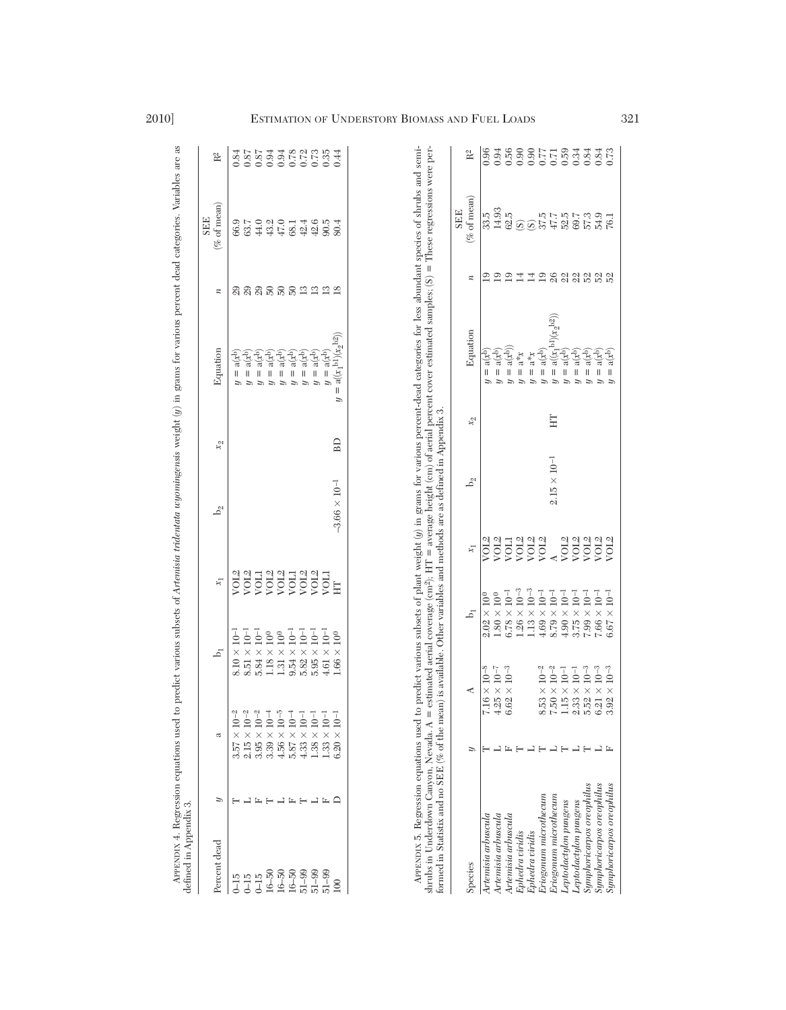| defined in Appendix 3.                    |                   |                               |                                                                                           |                                                        |                                                              |                        |                  |                                                                                                     |                    | <b>SEE</b>                                                    |                         |
|-------------------------------------------|-------------------|-------------------------------|-------------------------------------------------------------------------------------------|--------------------------------------------------------|--------------------------------------------------------------|------------------------|------------------|-----------------------------------------------------------------------------------------------------|--------------------|---------------------------------------------------------------|-------------------------|
| Percent dead                              | Þ                 | ದ                             | h,                                                                                        |                                                        | $x_1$                                                        | $b_2$                  | $\mathfrak{X}_2$ | Equation                                                                                            | $\boldsymbol{n}$   | $\mathscr{C}$ of mean)                                        | $R^2$                   |
| $0 - 15$                                  |                   | $10^{-2}$<br>$\times$<br>3.57 | $\times$<br>8.10                                                                          | $\bar{10}$ <sup>-1</sup>                               |                                                              |                        |                  | ે<br>તુરુ<br>Ш                                                                                      |                    | 66.9                                                          | 0.84                    |
| $0 - 15$                                  | ᆜ                 | $2.15 \times 10^{-2}$         | $8.51 \times 10^{-1}$                                                                     |                                                        | > 2013<br>2013 2013<br>2014 2015 2016<br>2012 2015 2016 2014 |                        |                  | $\mathbf{a}(\mathbf{x}^\mathrm{b})$<br>$\mathsf{I}$                                                 | ន្តន្តន្តន្តន្ទន្ទ | 63.7                                                          | 0.87                    |
| $0 - 15$                                  | Ŀ                 | $3.95 \times 10^{-2}$         | $5.84 \times 10^{-1}$                                                                     |                                                        |                                                              |                        |                  | લુંદર<br>$\label{eq:1} \prod_{i=1}^n \left\{ \prod_{i=1}^n \frac{1}{n_i} \right\}$                  |                    | 44.0                                                          | 0.87                    |
| $16 - 50$                                 | $\vdash$          | $3.39 \times 10^{-4}$         | $1.18\times10^{0}$                                                                        |                                                        |                                                              |                        |                  | $\mathbf{a}(\mathbf{x}^\mathrm{b})$<br>$\mathsf{I}$                                                 |                    | 43.2                                                          | 0.94                    |
| $16 - 50$                                 | 山                 | $4.56 \times 10^{-5}$         | $1.31\times10^{0}$                                                                        |                                                        |                                                              |                        |                  | (के)<br>बर्<br>$\sf II$<br>$\tilde{a}$                                                              |                    | 47.0                                                          |                         |
| $16 - 50$                                 |                   | $5.87 \times 10^{-4}$         | $9.54 \times 10^{-1}$                                                                     |                                                        |                                                              |                        |                  | $\mathrm{a}^{(x)}$<br>$\sf II$<br>$\tilde{u}$                                                       |                    | 68.1                                                          |                         |
| $51 - 99$                                 | $F \rightarrow F$ | $4.33 \times 10^{-1}$         | $5.82 \times 10^{-1}$                                                                     |                                                        |                                                              |                        |                  | $a(x^{b})$<br>$\label{eq:1} \mathsf{II}$<br>$\tilde{a}$                                             |                    | 42.4                                                          |                         |
| $51 - 99$                                 | 山丘                | $1.38 \times 10^{-1}$         | $5.95 \times 10^{-1}$                                                                     |                                                        |                                                              |                        |                  | ે<br>તુરુ<br>$\mathsf{I}$<br>$\tilde{a}$                                                            |                    | 42.6                                                          |                         |
| $51 - 99$                                 |                   | $1.33 \times 10^{-1}$         | $4.61 \times 10^{-1}$                                                                     |                                                        |                                                              |                        |                  | $\mathrm{a}^{(x)}$<br>$\lvert \rvert$                                                               |                    | 90.5                                                          |                         |
| 100                                       | ≏                 | $\times 10^{-1}$<br>6.20      | $1.66\times$                                                                              | $10^{\,0}$                                             | E                                                            | $-3.66 \times 10^{-1}$ | BD               | $a((x_1^{b_1})(x_2^{b_2}))$<br>II<br>Þ                                                              |                    | \$0.4                                                         | 0.44                    |
| Species                                   |                   | Þ                             |                                                                                           | ۵,                                                     | $x_1$                                                        | $b_2$                  | $x_2$            | Equation                                                                                            | $\boldsymbol{z}$   | $\left( \% \text{ of mean} \right)$<br><b>SEE</b>             | $\mathbb{R}^2$          |
| Artemisia arbuscula                       |                   |                               | $\times 10^{-8}$<br>7.16                                                                  | $\times\ 10^0$<br>2.02                                 | VOL2                                                         |                        |                  | $a(x^b)$<br>II                                                                                      | 2                  | 33.5                                                          | 0.96                    |
| Artemisia arbuscula                       |                   |                               | 4.25                                                                                      | $1.80\times10^{0}$                                     | VOL <sub>2</sub>                                             |                        |                  | $\mathbf{a}(\mathbf{x}^\mathrm{b})$<br>II                                                           | $\mathbf{E}$       | 14.93                                                         | 0.94                    |
| Artemisia arbuscula                       |                   | 匞                             | $\begin{array}{l} \mathrm{1\times10^{-7}} \\ \mathrm{2\times10^{-7}} \end{array}$<br>6.62 | $6.78 \times 10^{-1}$                                  | <b>NOTI</b>                                                  |                        |                  | $a(x^{b})$ .<br>$\parallel$                                                                         | $\overline{19}$    | 62.5                                                          | 0.56                    |
| Ephedra viridis                           |                   |                               |                                                                                           | $1.26 \times 10^{-3}$                                  | VOL2<br>VOL2<br>VOL2                                         |                        |                  | $x_*$ e<br>$\, \parallel$<br>$\tilde{u}$                                                            | $\overline{14}$    |                                                               | 0.90                    |
| Ephedra viridis                           |                   |                               |                                                                                           | $1.13 \times 10^{-3}$                                  |                                                              |                        |                  | $x_*$<br>$\ensuremath{\mathsf{II}}$<br>$\tilde{v}$                                                  |                    | ଉିତ                                                           |                         |
| $\mathop{Eriogonum}\nolimits$ microthecum |                   |                               | $10^{-2}$<br>$\times$<br>8.53                                                             | $4.69 \times 10^{-1}$                                  |                                                              |                        |                  | ી<br>તરી<br>$\ensuremath{\mathsf{II}}$<br>$\tilde{v}$                                               |                    | 37.5                                                          |                         |
| Enigonum microthe cum                     |                   |                               | $7.50\phantom{0}$ $1.15\phantom{0}$                                                       | $8.79 \times 10^{-1}$                                  | $\frac{\text{A}}{\text{VOL}2}$                               | $2.15 \times 10^{-1}$  | Ë                | $\mathrm{bl}\rangle(x_2^{\mathrm{b}2}))$<br>$a(x_1^b)$<br>$\ensuremath{\mathsf{II}}$<br>$\tilde{u}$ |                    |                                                               |                         |
| Leptodactylon pungens                     |                   | コエコエコエ                        | $\begin{array}{c} \times \ 10^{-2} \\ \times \ 10^{-1} \\ \times \ 1 \end{array}$         | $4.90 \times 10^{-1}$                                  |                                                              |                        |                  | alx <sup>ib</sup><br>$\, \parallel$<br>っ                                                            |                    | $\begin{array}{l} 47.7 \\ 15.0 \\ 50.7 \\ 7.3 \\ \end{array}$ | 565176<br>56500<br>5600 |
| Leptodactylon pungens                     |                   |                               | 2.33                                                                                      | $3.75 \times 10^{-1}$                                  | VOL <sub>2</sub>                                             |                        |                  | $\mathbf{a}(\mathbf{x}^\mathrm{b})$<br>$\, \parallel$                                               |                    |                                                               |                         |
| Symphoricarpos oreophilus                 |                   |                               | ${\rm 10^{-3}}$ ${\rm 10^{-3}}$<br>$\times$<br>5.52                                       | $7.99 \times 10^{-1}$                                  | VOL <sub>2</sub>                                             |                        |                  | $\mathbf{a}(\mathbf{x}^\mathrm{b})$<br>$\label{eq:1} \quad \text{  }$                               | 19 3 3 3 3 3 3 3   |                                                               | 0.84                    |
| Symphoricarpos oreophilus                 |                   | 그 뜨                           | $10^{-3}$<br>$\times$<br>3.92<br>6.21                                                     | $7.66 \times 10^{-1}$<br>$10^{-1}$<br>$\times$<br>6.67 | VOL <sub>2</sub><br>VOL <sub>2</sub>                         |                        |                  | ે<br>તુરુ<br>$\mathbf{a}(\mathbf{x}^\mathrm{b})$<br>II<br>II                                        |                    | 54.9<br>76.1                                                  | 0.84                    |
| Symphoricarpos oreophilus                 |                   |                               |                                                                                           |                                                        |                                                              |                        |                  |                                                                                                     |                    |                                                               |                         |

# 2010] ESTIMATION OF UNDERSTORY BIOMASS AND FUEL LOADS 321